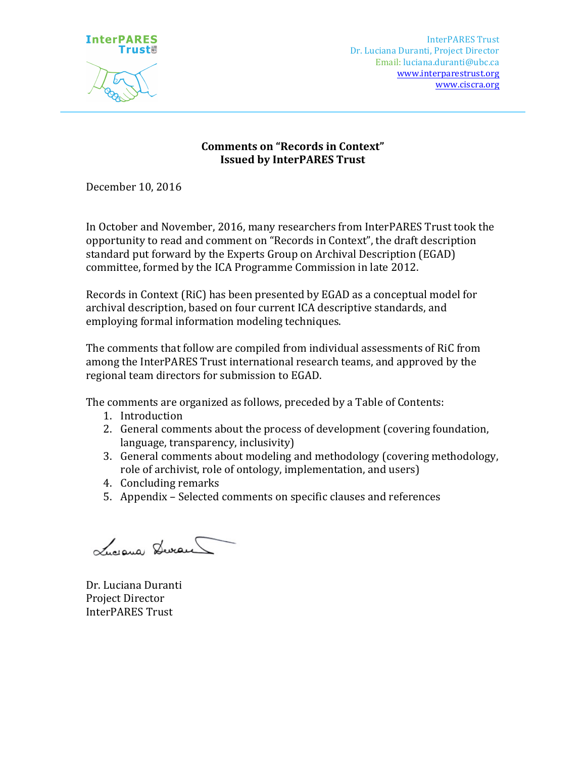

# **Comments on "Records in Context" Issued by InterPARES Trust**

December 10, 2016

In October and November, 2016, many researchers from InterPARES Trust took the opportunity to read and comment on "Records in Context", the draft description standard put forward by the Experts Group on Archival Description (EGAD) committee, formed by the ICA Programme Commission in late 2012.

Records in Context (RiC) has been presented by EGAD as a conceptual model for archival description, based on four current ICA descriptive standards, and employing formal information modeling techniques.

The comments that follow are compiled from individual assessments of RiC from among the InterPARES Trust international research teams, and approved by the regional team directors for submission to EGAD.

The comments are organized as follows, preceded by a Table of Contents:

- 1. Introduction
- 2. General comments about the process of development (covering foundation,  $language, transparency, inclusive)$
- 3. General comments about modeling and methodology (covering methodology, role of archivist, role of ontology, implementation, and users)
- 4. Concluding remarks
- 5. Appendix Selected comments on specific clauses and references

Luciena Devan

Dr. Luciana Duranti Project Director InterPARES Trust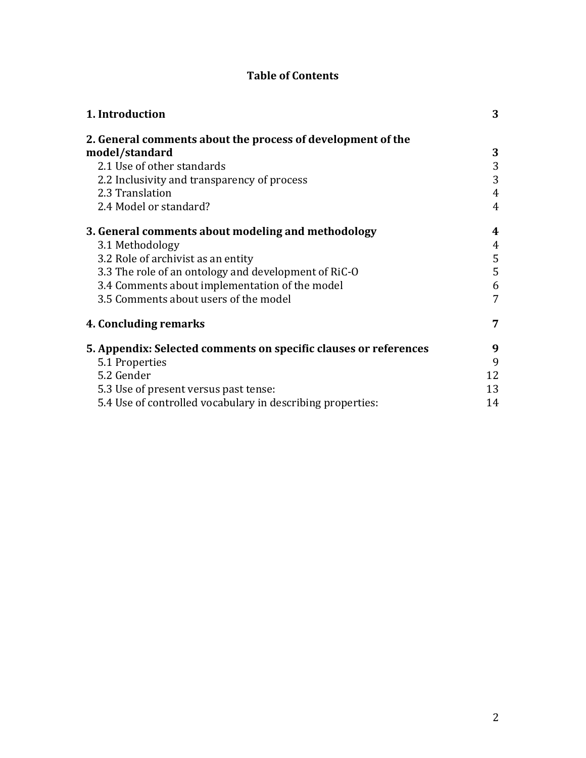# **Table of Contents**

| 1. Introduction                                                  | 3              |
|------------------------------------------------------------------|----------------|
| 2. General comments about the process of development of the      |                |
| model/standard                                                   | 3              |
| 2.1 Use of other standards                                       | 3              |
| 2.2 Inclusivity and transparency of process                      | 3              |
| 2.3 Translation                                                  | 4              |
| 2.4 Model or standard?                                           | $\overline{4}$ |
| 3. General comments about modeling and methodology               | 4              |
| 3.1 Methodology                                                  | 4              |
| 3.2 Role of archivist as an entity                               | 5              |
| 3.3 The role of an ontology and development of RiC-O             | 5              |
| 3.4 Comments about implementation of the model                   | 6              |
| 3.5 Comments about users of the model                            | 7              |
| 4. Concluding remarks                                            | 7              |
| 5. Appendix: Selected comments on specific clauses or references | 9              |
| 5.1 Properties                                                   | 9              |
| 5.2 Gender                                                       | 12             |
| 5.3 Use of present versus past tense:                            | 13             |
| 5.4 Use of controlled vocabulary in describing properties:       | 14             |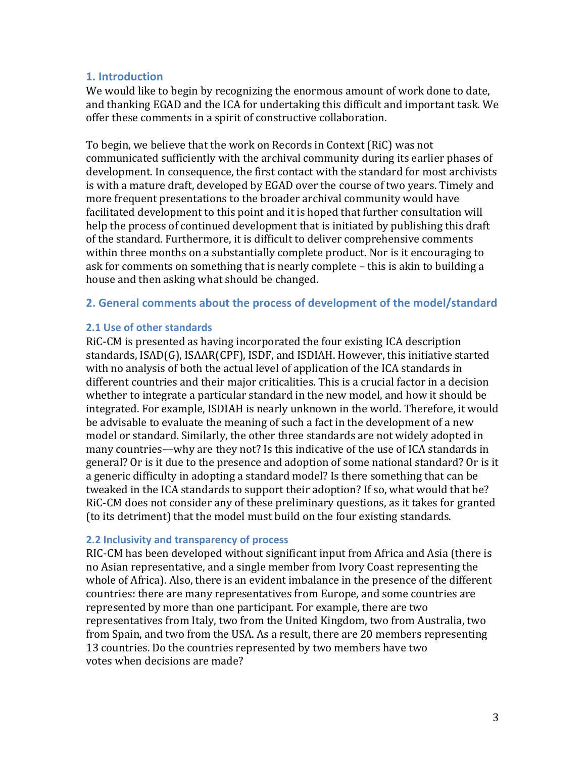# **1. Introduction**

We would like to begin by recognizing the enormous amount of work done to date, and thanking EGAD and the ICA for undertaking this difficult and important task. We offer these comments in a spirit of constructive collaboration.

To begin, we believe that the work on Records in Context (RiC) was not communicated sufficiently with the archival community during its earlier phases of development. In consequence, the first contact with the standard for most archivists is with a mature draft, developed by EGAD over the course of two years. Timely and more frequent presentations to the broader archival community would have facilitated development to this point and it is hoped that further consultation will help the process of continued development that is initiated by publishing this draft of the standard. Furthermore, it is difficult to deliver comprehensive comments within three months on a substantially complete product. Nor is it encouraging to ask for comments on something that is nearly complete  $-$  this is akin to building a house and then asking what should be changed.

#### **2. General comments about the process of development of the model/standard**

#### **2.1 Use of other standards**

RiC-CM is presented as having incorporated the four existing ICA description standards, ISAD(G), ISAAR(CPF), ISDF, and ISDIAH. However, this initiative started with no analysis of both the actual level of application of the ICA standards in different countries and their major criticalities. This is a crucial factor in a decision whether to integrate a particular standard in the new model, and how it should be integrated. For example, ISDIAH is nearly unknown in the world. Therefore, it would be advisable to evaluate the meaning of such a fact in the development of a new model or standard. Similarly, the other three standards are not widely adopted in many countries—why are they not? Is this indicative of the use of ICA standards in general? Or is it due to the presence and adoption of some national standard? Or is it a generic difficulty in adopting a standard model? Is there something that can be tweaked in the ICA standards to support their adoption? If so, what would that be? RiC-CM does not consider any of these preliminary questions, as it takes for granted (to its detriment) that the model must build on the four existing standards.

#### **2.2 Inclusivity and transparency of process**

RIC-CM has been developed without significant input from Africa and Asia (there is no Asian representative, and a single member from Ivory Coast representing the whole of Africa). Also, there is an evident imbalance in the presence of the different countries: there are many representatives from Europe, and some countries are represented by more than one participant. For example, there are two representatives from Italy, two from the United Kingdom, two from Australia, two from Spain, and two from the USA. As a result, there are 20 members representing 13 countries. Do the countries represented by two members have two votes when decisions are made?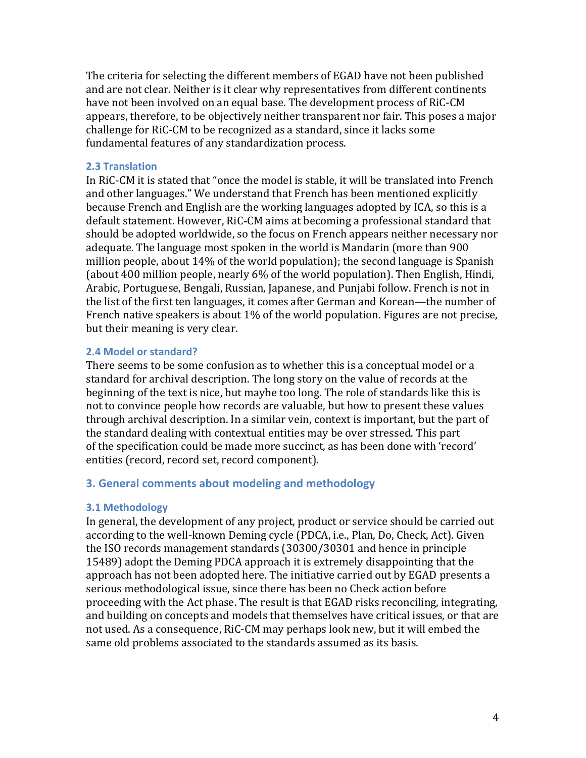The criteria for selecting the different members of EGAD have not been published and are not clear. Neither is it clear why representatives from different continents have not been involved on an equal base. The development process of RiC-CM appears, therefore, to be objectively neither transparent nor fair. This poses a major challenge for RiC-CM to be recognized as a standard, since it lacks some fundamental features of any standardization process.

#### **2.3 Translation**

In RiC-CM it is stated that "once the model is stable, it will be translated into French and other languages." We understand that French has been mentioned explicitly because French and English are the working languages adopted by ICA, so this is a default statement. However, RiC-CM aims at becoming a professional standard that should be adopted worldwide, so the focus on French appears neither necessary nor adequate. The language most spoken in the world is Mandarin (more than 900 million people, about  $14\%$  of the world population); the second language is Spanish (about 400 million people, nearly  $6\%$  of the world population). Then English, Hindi, Arabic, Portuguese, Bengali, Russian, Japanese, and Punjabi follow. French is not in the list of the first ten languages, it comes after German and Korean—the number of French native speakers is about  $1\%$  of the world population. Figures are not precise, but their meaning is very clear.

#### **2.4 Model or standard?**

There seems to be some confusion as to whether this is a conceptual model or a standard for archival description. The long story on the value of records at the beginning of the text is nice, but maybe too long. The role of standards like this is not to convince people how records are valuable, but how to present these values through archival description. In a similar vein, context is important, but the part of the standard dealing with contextual entities may be over stressed. This part of the specification could be made more succinct, as has been done with 'record' entities (record, record set, record component).

# **3. General comments about modeling and methodology**

# **3.1 Methodology**

In general, the development of any project, product or service should be carried out according to the well-known Deming cycle (PDCA, i.e., Plan, Do, Check, Act). Given the ISO records management standards (30300/30301 and hence in principle 15489) adopt the Deming PDCA approach it is extremely disappointing that the approach has not been adopted here. The initiative carried out by EGAD presents a serious methodological issue, since there has been no Check action before proceeding with the Act phase. The result is that EGAD risks reconciling, integrating, and building on concepts and models that themselves have critical issues, or that are not used. As a consequence, RiC-CM may perhaps look new, but it will embed the same old problems associated to the standards assumed as its basis.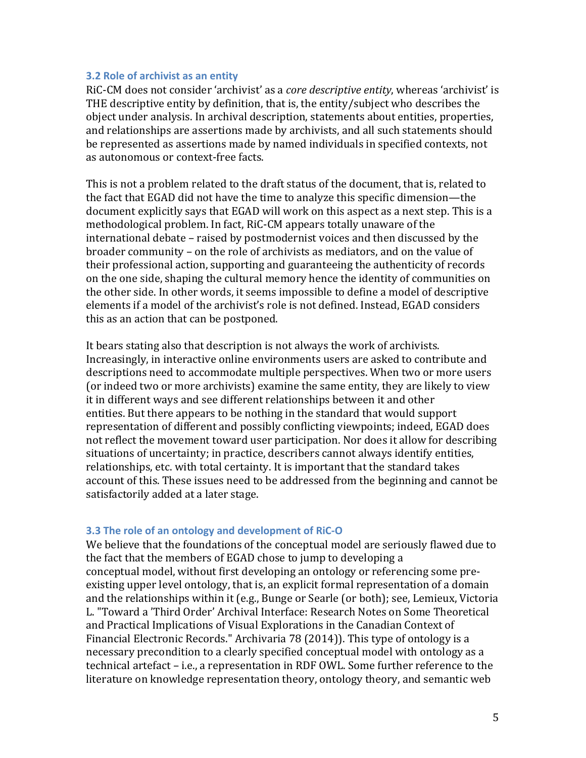#### **3.2 Role of archivist as an entity**

RiC-CM does not consider 'archivist' as a *core descriptive entity*, whereas 'archivist' is THE descriptive entity by definition, that is, the entity/subject who describes the object under analysis. In archival description, statements about entities, properties, and relationships are assertions made by archivists, and all such statements should be represented as assertions made by named individuals in specified contexts, not as autonomous or context-free facts.

This is not a problem related to the draft status of the document, that is, related to the fact that EGAD did not have the time to analyze this specific dimension—the document explicitly says that EGAD will work on this aspect as a next step. This is a methodological problem. In fact, RiC-CM appears totally unaware of the international debate – raised by postmodernist voices and then discussed by the broader community - on the role of archivists as mediators, and on the value of their professional action, supporting and guaranteeing the authenticity of records on the one side, shaping the cultural memory hence the identity of communities on the other side. In other words, it seems impossible to define a model of descriptive elements if a model of the archivist's role is not defined. Instead, EGAD considers this as an action that can be postponed.

It bears stating also that description is not always the work of archivists. Increasingly, in interactive online environments users are asked to contribute and descriptions need to accommodate multiple perspectives. When two or more users (or indeed two or more archivists) examine the same entity, they are likely to view it in different ways and see different relationships between it and other entities. But there appears to be nothing in the standard that would support representation of different and possibly conflicting viewpoints; indeed, EGAD does not reflect the movement toward user participation. Nor does it allow for describing situations of uncertainty; in practice, describers cannot always identify entities, relationships, etc. with total certainty. It is important that the standard takes account of this. These issues need to be addressed from the beginning and cannot be satisfactorily added at a later stage.

#### **3.3** The role of an ontology and development of RiC-O

We believe that the foundations of the conceptual model are seriously flawed due to the fact that the members of EGAD chose to jump to developing a conceptual model, without first developing an ontology or referencing some preexisting upper level ontology, that is, an explicit formal representation of a domain and the relationships within it (e.g., Bunge or Searle (or both); see, Lemieux, Victoria L. "Toward a 'Third Order' Archival Interface: Research Notes on Some Theoretical and Practical Implications of Visual Explorations in the Canadian Context of Financial Electronic Records." Archivaria 78 (2014)). This type of ontology is a necessary precondition to a clearly specified conceptual model with ontology as a technical artefact – i.e., a representation in RDF OWL. Some further reference to the literature on knowledge representation theory, ontology theory, and semantic web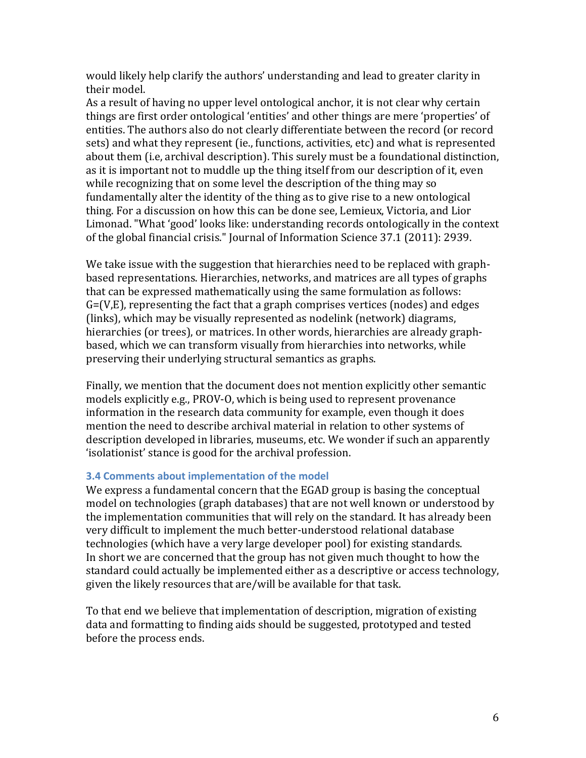would likely help clarify the authors' understanding and lead to greater clarity in their model.

As a result of having no upper level ontological anchor, it is not clear why certain things are first order ontological 'entities' and other things are mere 'properties' of entities. The authors also do not clearly differentiate between the record (or record sets) and what they represent (ie., functions, activities, etc) and what is represented about them (i.e, archival description). This surely must be a foundational distinction, as it is important not to muddle up the thing itself from our description of it, even while recognizing that on some level the description of the thing may so fundamentally alter the identity of the thing as to give rise to a new ontological thing. For a discussion on how this can be done see, Lemieux, Victoria, and Lior Limonad. "What 'good' looks like: understanding records ontologically in the context of the global financial crisis." Journal of Information Science 37.1 (2011): 2939.

We take issue with the suggestion that hierarchies need to be replaced with graphbased representations. Hierarchies, networks, and matrices are all types of graphs that can be expressed mathematically using the same formulation as follows:  $G=(V,E)$ , representing the fact that a graph comprises vertices (nodes) and edges (links), which may be visually represented as nodelink (network) diagrams, hierarchies (or trees), or matrices. In other words, hierarchies are already graphbased, which we can transform visually from hierarchies into networks, while preserving their underlying structural semantics as graphs.

Finally, we mention that the document does not mention explicitly other semantic models explicitly e.g., PROV-O, which is being used to represent provenance information in the research data community for example, even though it does mention the need to describe archival material in relation to other systems of description developed in libraries, museums, etc. We wonder if such an apparently 'isolationist' stance is good for the archival profession.

#### **3.4 Comments about implementation of the model**

We express a fundamental concern that the EGAD group is basing the conceptual model on technologies (graph databases) that are not well known or understood by the implementation communities that will rely on the standard. It has already been very difficult to implement the much better-understood relational database technologies (which have a very large developer pool) for existing standards. In short we are concerned that the group has not given much thought to how the standard could actually be implemented either as a descriptive or access technology, given the likely resources that are/will be available for that task.

To that end we believe that implementation of description, migration of existing data and formatting to finding aids should be suggested, prototyped and tested before the process ends.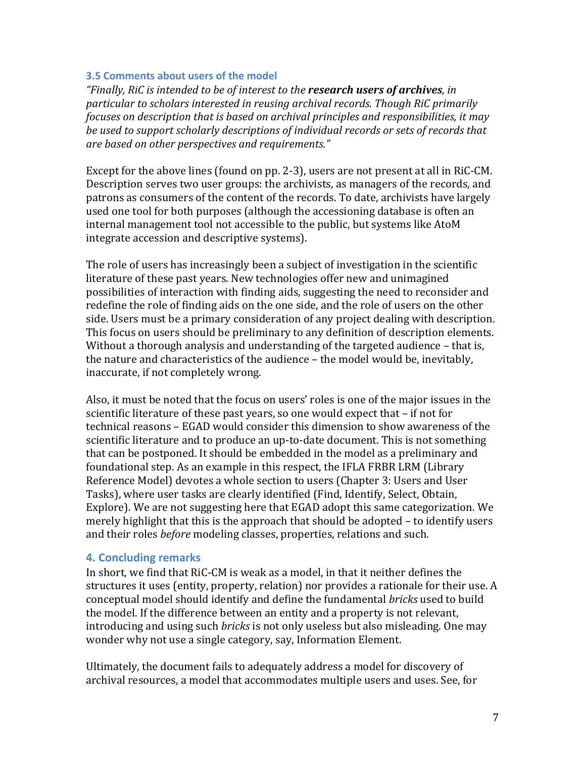#### **3.5 Comments about users of the model**

*"Finally, RiC is intended to be of interest to the research users of archives, in* particular to scholars interested in reusing archival records. Though RiC primarily *focuses* on description that is based on archival principles and responsibilities, it may be used to support scholarly descriptions of individual records or sets of records that *are based on other perspectives and requirements."* 

Except for the above lines (found on  $pp. 2-3$ ), users are not present at all in RiC-CM. Description serves two user groups: the archivists, as managers of the records, and patrons as consumers of the content of the records. To date, archivists have largely used one tool for both purposes (although the accessioning database is often an internal management tool not accessible to the public, but systems like AtoM integrate accession and descriptive systems).

The role of users has increasingly been a subject of investigation in the scientific literature of these past years. New technologies offer new and unimagined possibilities of interaction with finding aids, suggesting the need to reconsider and redefine the role of finding aids on the one side, and the role of users on the other side. Users must be a primary consideration of any project dealing with description. This focus on users should be preliminary to any definition of description elements. Without a thorough analysis and understanding of the targeted audience  $-$  that is, the nature and characteristics of the audience - the model would be, inevitably, inaccurate, if not completely wrong.

Also, it must be noted that the focus on users' roles is one of the major issues in the scientific literature of these past years, so one would expect that - if not for technical reasons – EGAD would consider this dimension to show awareness of the scientific literature and to produce an up-to-date document. This is not something that can be postponed. It should be embedded in the model as a preliminary and foundational step. As an example in this respect, the IFLA FRBR LRM (Library Reference Model) devotes a whole section to users (Chapter 3: Users and User Tasks), where user tasks are clearly identified (Find, Identify, Select, Obtain, Explore). We are not suggesting here that EGAD adopt this same categorization. We merely highlight that this is the approach that should be adopted  $-$  to identify users and their roles *before* modeling classes, properties, relations and such.

# **4. Concluding remarks**

In short, we find that RiC-CM is weak as a model, in that it neither defines the structures it uses (entity, property, relation) nor provides a rationale for their use. A conceptual model should identify and define the fundamental *bricks* used to build the model. If the difference between an entity and a property is not relevant, introducing and using such *bricks* is not only useless but also misleading. One may wonder why not use a single category, say, Information Element.

Ultimately, the document fails to adequately address a model for discovery of archival resources, a model that accommodates multiple users and uses. See, for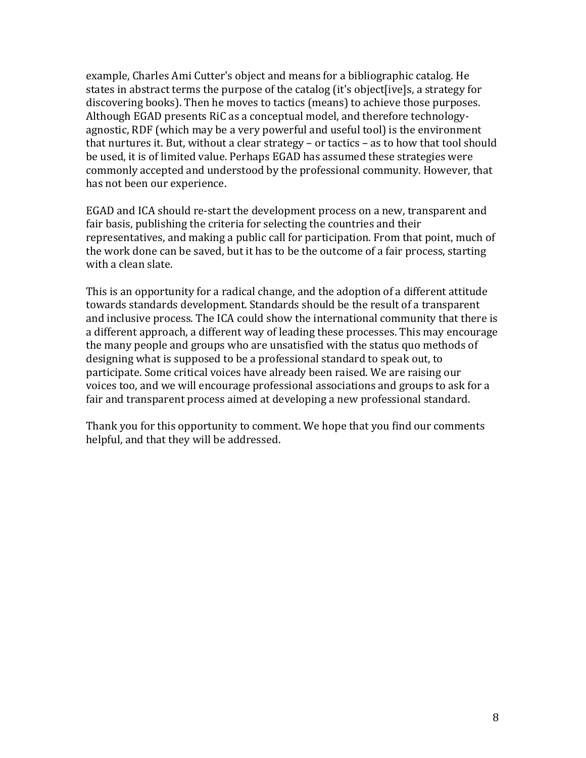example, Charles Ami Cutter's object and means for a bibliographic catalog. He states in abstract terms the purpose of the catalog (it's object [ive]s, a strategy for discovering books). Then he moves to tactics (means) to achieve those purposes. Although EGAD presents RiC as a conceptual model, and therefore technologyagnostic, RDF (which may be a very powerful and useful tool) is the environment that nurtures it. But, without a clear strategy – or tactics – as to how that tool should be used, it is of limited value. Perhaps EGAD has assumed these strategies were commonly accepted and understood by the professional community. However, that has not been our experience.

EGAD and ICA should re-start the development process on a new, transparent and fair basis, publishing the criteria for selecting the countries and their representatives, and making a public call for participation. From that point, much of the work done can be saved, but it has to be the outcome of a fair process, starting with a clean slate.

This is an opportunity for a radical change, and the adoption of a different attitude towards standards development. Standards should be the result of a transparent and inclusive process. The ICA could show the international community that there is a different approach, a different way of leading these processes. This may encourage the many people and groups who are unsatisfied with the status quo methods of designing what is supposed to be a professional standard to speak out, to participate. Some critical voices have already been raised. We are raising our voices too, and we will encourage professional associations and groups to ask for a fair and transparent process aimed at developing a new professional standard.

Thank you for this opportunity to comment. We hope that you find our comments helpful, and that they will be addressed.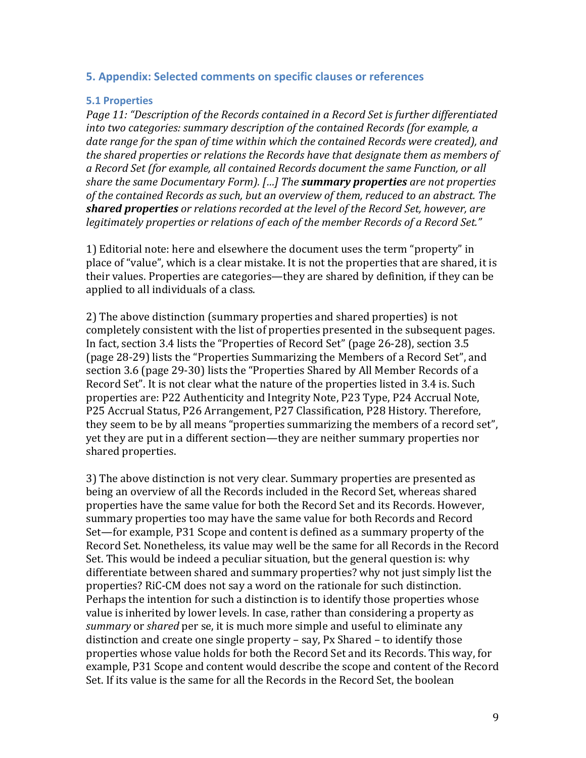#### **5. Appendix: Selected comments on specific clauses or references**

#### **5.1 Properties**

Page 11: "Description of the Records contained in a Record Set is further differentiated *into two categories: summary description of the contained Records (for example, a* date range for the span of time within which the contained Records were created), and the shared properties or relations the Records have that designate them as members of a Record Set (for example, all contained Records document the same Function, or all *share the same Documentary Form).* [...] The **summary properties** are not properties of the contained Records as such, but an overview of them, reduced to an abstract. The **shared properties** or relations recorded at the level of the Record Set, however, are legitimately properties or relations of each of the member Records of a Record Set."

1) Editorial note: here and elsewhere the document uses the term "property" in place of "value", which is a clear mistake. It is not the properties that are shared, it is their values. Properties are categories—they are shared by definition, if they can be applied to all individuals of a class.

2) The above distinction (summary properties and shared properties) is not completely consistent with the list of properties presented in the subsequent pages. In fact, section 3.4 lists the "Properties of Record Set" (page 26-28), section 3.5 (page 28-29) lists the "Properties Summarizing the Members of a Record Set", and section 3.6 (page 29-30) lists the "Properties Shared by All Member Records of a Record Set". It is not clear what the nature of the properties listed in 3.4 is. Such properties are: P22 Authenticity and Integrity Note, P23 Type, P24 Accrual Note, P25 Accrual Status, P26 Arrangement, P27 Classification, P28 History. Therefore, they seem to be by all means "properties summarizing the members of a record set", yet they are put in a different section—they are neither summary properties nor shared properties.

3) The above distinction is not very clear. Summary properties are presented as being an overview of all the Records included in the Record Set, whereas shared properties have the same value for both the Record Set and its Records. However, summary properties too may have the same value for both Records and Record Set—for example, P31 Scope and content is defined as a summary property of the Record Set. Nonetheless, its value may well be the same for all Records in the Record Set. This would be indeed a peculiar situation, but the general question is: why differentiate between shared and summary properties? why not just simply list the properties? RiC-CM does not say a word on the rationale for such distinction. Perhaps the intention for such a distinction is to identify those properties whose value is inherited by lower levels. In case, rather than considering a property as *summary* or *shared* per se, it is much more simple and useful to eliminate any distinction and create one single property  $-$  say, Px Shared  $-$  to identify those properties whose value holds for both the Record Set and its Records. This way, for example, P31 Scope and content would describe the scope and content of the Record Set. If its value is the same for all the Records in the Record Set, the boolean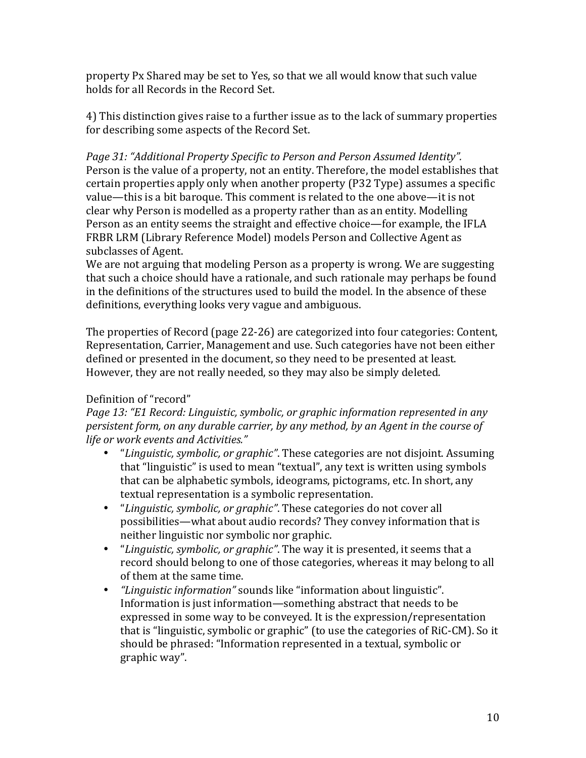property Px Shared may be set to Yes, so that we all would know that such value holds for all Records in the Record Set.

4) This distinction gives raise to a further issue as to the lack of summary properties for describing some aspects of the Record Set.

Page 31: "Additional Property Specific to Person and Person Assumed Identity". Person is the value of a property, not an entity. Therefore, the model establishes that certain properties apply only when another property (P32 Type) assumes a specific value—this is a bit baroque. This comment is related to the one above—it is not clear why Person is modelled as a property rather than as an entity. Modelling Person as an entity seems the straight and effective choice—for example, the IFLA FRBR LRM (Library Reference Model) models Person and Collective Agent as subclasses of Agent.

We are not arguing that modeling Person as a property is wrong. We are suggesting that such a choice should have a rationale, and such rationale may perhaps be found in the definitions of the structures used to build the model. In the absence of these definitions, everything looks very vague and ambiguous.

The properties of Record (page 22-26) are categorized into four categories: Content, Representation, Carrier, Management and use. Such categories have not been either defined or presented in the document, so they need to be presented at least. However, they are not really needed, so they may also be simply deleted.

# Definition of "record"

*Page 13:* "E1 Record: Linguistic, symbolic, or graphic information represented in any *persistent form, on any durable carrier, by any method, by an Agent in the course of* life or work events and Activities."

- *"Linguistic, symbolic, or graphic"*. These categories are not disjoint. Assuming that "linguistic" is used to mean "textual", any text is written using symbols that can be alphabetic symbols, ideograms, pictograms, etc. In short, any textual representation is a symbolic representation.
- *"Linguistic, symbolic, or graphic"*. These categories do not cover all possibilities—what about audio records? They convey information that is neither linguistic nor symbolic nor graphic.
- *"Linguistic, symbolic, or graphic"*. The way it is presented, it seems that a record should belong to one of those categories, whereas it may belong to all of them at the same time.
- *"Linguistic information"* sounds like "information about linguistic". Information is just information—something abstract that needs to be expressed in some way to be conveyed. It is the expression/representation that is "linguistic, symbolic or graphic" (to use the categories of RiC-CM). So it should be phrased: "Information represented in a textual, symbolic or graphic way".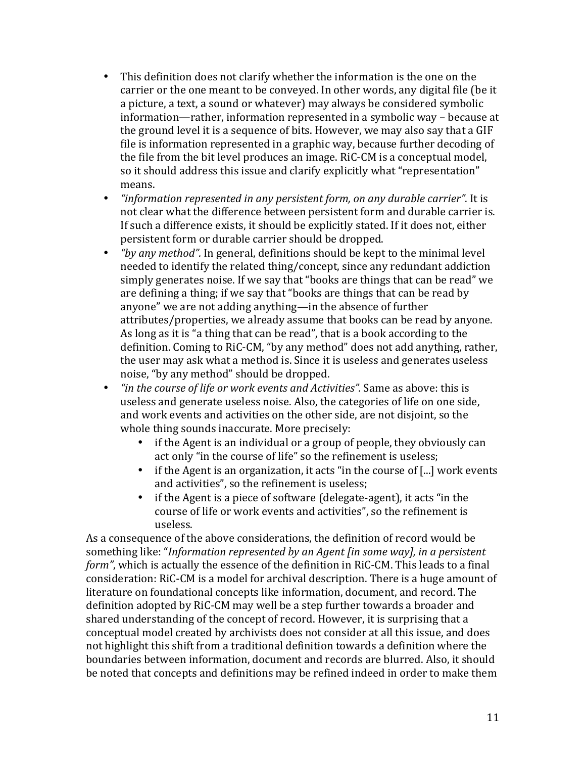- This definition does not clarify whether the information is the one on the carrier or the one meant to be conveyed. In other words, any digital file (be it a picture, a text, a sound or whatever) may always be considered symbolic information—rather, information represented in a symbolic way – because at the ground level it is a sequence of bits. However, we may also say that a GIF file is information represented in a graphic way, because further decoding of the file from the bit level produces an image. RiC-CM is a conceptual model, so it should address this issue and clarify explicitly what "representation" means.
- *"information represented in any persistent form, on any durable carrier"*. It is not clear what the difference between persistent form and durable carrier is. If such a difference exists, it should be explicitly stated. If it does not, either persistent form or durable carrier should be dropped.
- *"by any method"*. In general, definitions should be kept to the minimal level needed to identify the related thing/concept, since any redundant addiction simply generates noise. If we say that "books are things that can be read" we are defining a thing; if we say that "books are things that can be read by anyone" we are not adding anything—in the absence of further attributes/properties, we already assume that books can be read by anyone. As long as it is "a thing that can be read", that is a book according to the definition. Coming to RiC-CM, "by any method" does not add anything, rather, the user may ask what a method is. Since it is useless and generates useless noise, "by any method" should be dropped.
- "*in the course of life or work events and Activities*". Same as above: this is useless and generate useless noise. Also, the categories of life on one side, and work events and activities on the other side, are not disjoint, so the whole thing sounds inaccurate. More precisely:
	- if the Agent is an individual or a group of people, they obviously can act only "in the course of life" so the refinement is useless;
	- if the Agent is an organization, it acts "in the course of  $[...]$  work events and activities", so the refinement is useless;
	- if the Agent is a piece of software (delegate-agent), it acts "in the course of life or work events and activities", so the refinement is useless.

As a consequence of the above considerations, the definition of record would be something like: "*Information represented by an Agent [in some way], in a persistent form"*, which is actually the essence of the definition in RiC-CM. This leads to a final consideration: RiC-CM is a model for archival description. There is a huge amount of literature on foundational concepts like information, document, and record. The definition adopted by RiC-CM may well be a step further towards a broader and shared understanding of the concept of record. However, it is surprising that a conceptual model created by archivists does not consider at all this issue, and does not highlight this shift from a traditional definition towards a definition where the boundaries between information, document and records are blurred. Also, it should be noted that concepts and definitions may be refined indeed in order to make them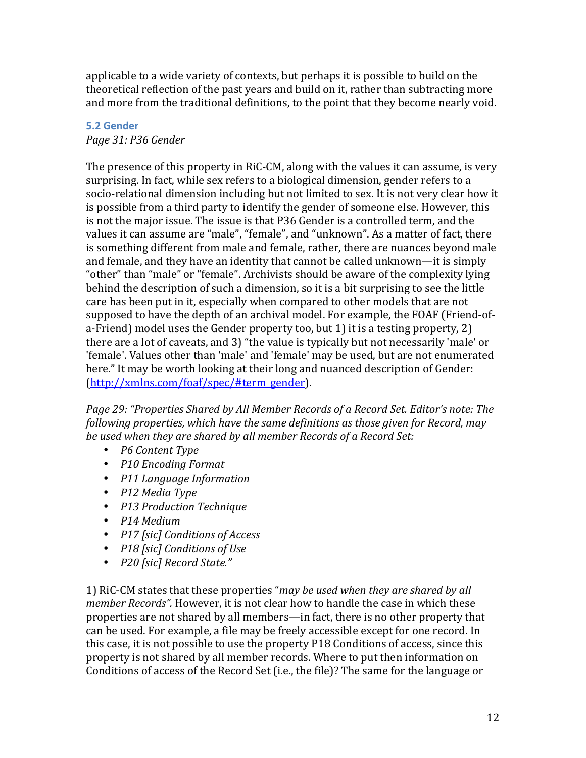applicable to a wide variety of contexts, but perhaps it is possible to build on the theoretical reflection of the past years and build on it, rather than subtracting more and more from the traditional definitions, to the point that they become nearly void.

# **5.2 Gender**

*Page 31: P36 Gender*

The presence of this property in RiC-CM, along with the values it can assume, is very surprising. In fact, while sex refers to a biological dimension, gender refers to a socio-relational dimension including but not limited to sex. It is not very clear how it is possible from a third party to identify the gender of someone else. However, this is not the major issue. The issue is that P36 Gender is a controlled term, and the values it can assume are "male", "female", and "unknown". As a matter of fact, there is something different from male and female, rather, there are nuances beyond male and female, and they have an identity that cannot be called unknown—it is simply "other" than "male" or "female". Archivists should be aware of the complexity lying behind the description of such a dimension, so it is a bit surprising to see the little care has been put in it, especially when compared to other models that are not supposed to have the depth of an archival model. For example, the FOAF (Friend-ofa-Friend) model uses the Gender property too, but 1) it is a testing property, 2) there are a lot of caveats, and 3) "the value is typically but not necessarily 'male' or 'female'. Values other than 'male' and 'female' may be used, but are not enumerated here." It may be worth looking at their long and nuanced description of Gender: (http://xmlns.com/foaf/spec/#term\_gender).

Page 29: "Properties Shared by All Member Records of a Record Set. Editor's note: The *following properties, which have the same definitions as those given for Record, may* be used when they are shared by all member Records of a Record Set:

- *P6 Content Type*
- *P10 Encoding Format*
- *P11 Language Information*
- *P12 Media Type*
- *P13 Production Technique*
- *P14 Medium*
- *P17 [sic] Conditions of Access*
- *P18 [sic] Conditions of Use*
- *P20 [sic] Record State."*

1) RiC-CM states that these properties "*may be used when they are shared by all member Records"*. However, it is not clear how to handle the case in which these properties are not shared by all members—in fact, there is no other property that can be used. For example, a file may be freely accessible except for one record. In this case, it is not possible to use the property P18 Conditions of access, since this property is not shared by all member records. Where to put then information on Conditions of access of the Record Set (i.e., the file)? The same for the language or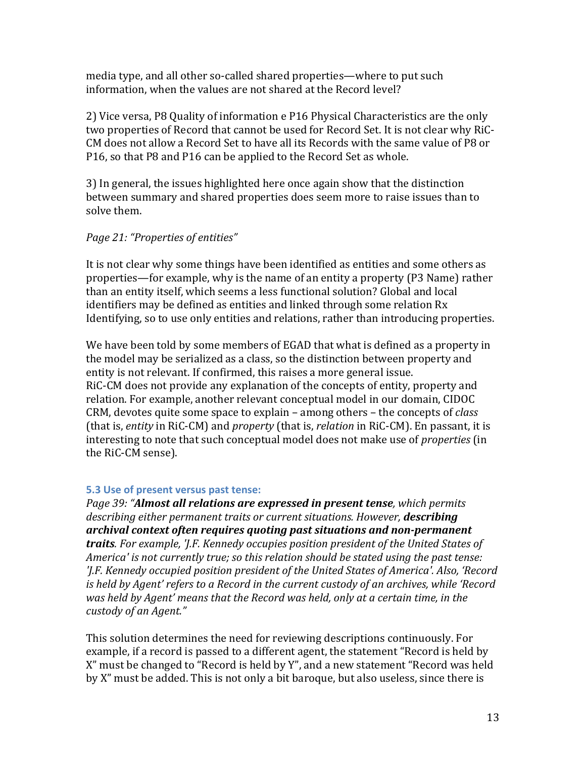media type, and all other so-called shared properties—where to put such information, when the values are not shared at the Record level?

2) Vice versa, P8 Quality of information e P16 Physical Characteristics are the only two properties of Record that cannot be used for Record Set. It is not clear why RiC-CM does not allow a Record Set to have all its Records with the same value of P8 or P16, so that P8 and P16 can be applied to the Record Set as whole.

3) In general, the issues highlighted here once again show that the distinction between summary and shared properties does seem more to raise issues than to solve them.

# *Page 21: "Properties of entities"*

It is not clear why some things have been identified as entities and some others as properties—for example, why is the name of an entity a property (P3 Name) rather than an entity itself, which seems a less functional solution? Global and local identifiers may be defined as entities and linked through some relation Rx Identifying, so to use only entities and relations, rather than introducing properties.

We have been told by some members of EGAD that what is defined as a property in the model may be serialized as a class, so the distinction between property and entity is not relevant. If confirmed, this raises a more general issue. RiC-CM does not provide any explanation of the concepts of entity, property and relation. For example, another relevant conceptual model in our domain, CIDOC CRM, devotes quite some space to explain – among others – the concepts of *class* (that is, *entity* in RiC-CM) and *property* (that is, *relation* in RiC-CM). En passant, it is interesting to note that such conceptual model does not make use of *properties* (in the RiC-CM sense).

# **5.3** Use of present versus past tense:

*Page 39: "Almost all relations are expressed in present tense, which permits* describing either permanent traits or current situations. However, **describing** archival context often requires quoting past situations and non-permanent *traits.* For example, 'J.F. Kennedy occupies position president of the United States of America' is not currently true; so this relation should be stated using the past tense: *'I.F.* Kennedy occupied position president of the United States of America'. Also, 'Record *is* held by Agent' refers to a Record in the current custody of an archives, while 'Record was held by Agent' means that the Record was held, only at a certain time, in the *custody of an Agent."*

This solution determines the need for reviewing descriptions continuously. For example, if a record is passed to a different agent, the statement "Record is held by X" must be changed to "Record is held by Y", and a new statement "Record was held by X" must be added. This is not only a bit baroque, but also useless, since there is